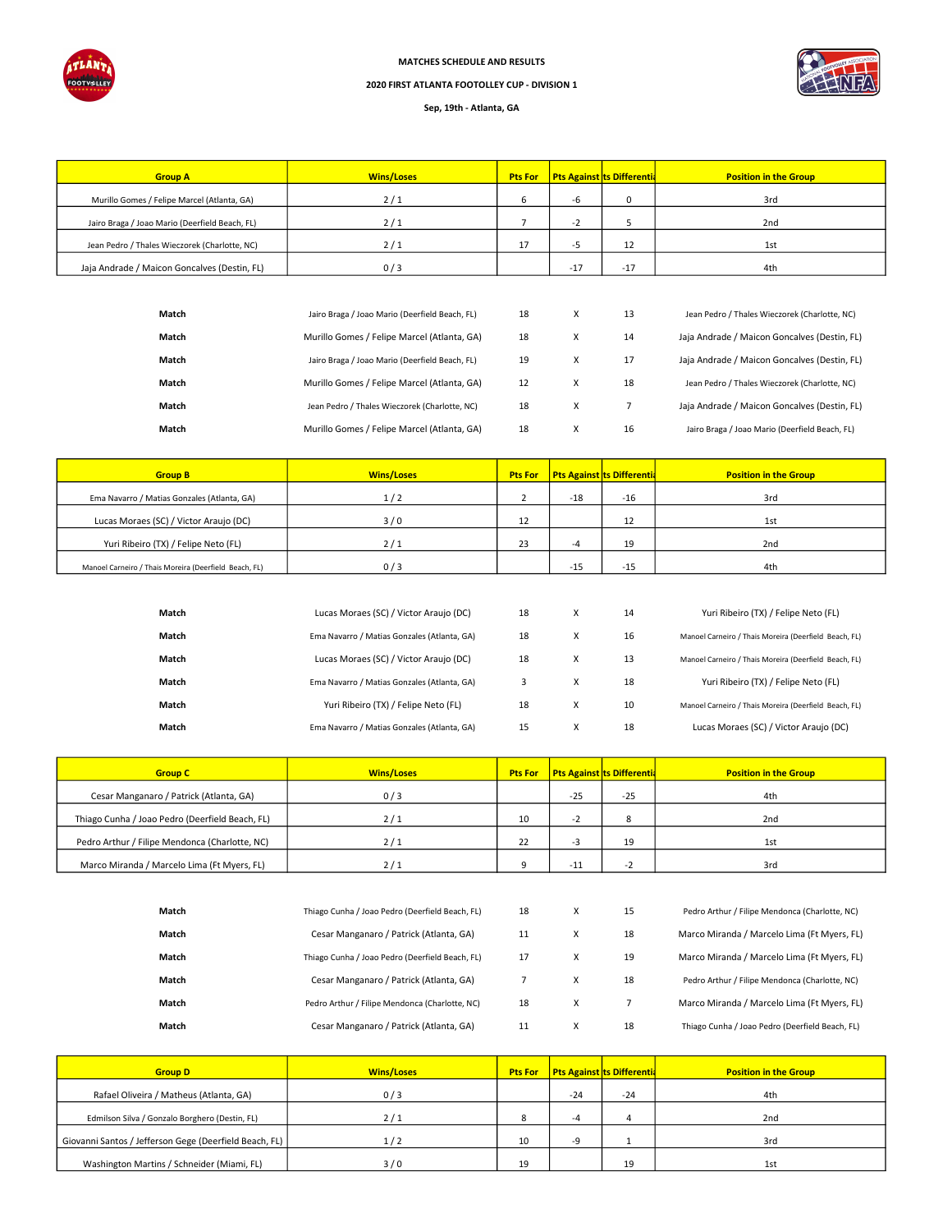

MATCHES SCHEDULE AND RESULTS

## 2020 FIRST ATLANTA FOOTOLLEY CUP - DIVISION 1

## Sep, 19th - Atlanta, GA

| <b>Group A</b>                                 | <b>Wins/Loses</b> | <b>Pts For</b> |       | <b>Pts Against ts Differentia</b> | <b>Position in the Group</b> |
|------------------------------------------------|-------------------|----------------|-------|-----------------------------------|------------------------------|
| Murillo Gomes / Felipe Marcel (Atlanta, GA)    | 2/1               |                | -ხ    |                                   | 3rd                          |
| Jairo Braga / Joao Mario (Deerfield Beach, FL) | 2/1               |                | -7    |                                   | 2 <sub>nd</sub>              |
| Jean Pedro / Thales Wieczorek (Charlotte, NC)  | 711               | 17             | -2    | 12                                | 1st                          |
| Jaja Andrade / Maicon Goncalves (Destin, FL)   | 0/3               |                | $-17$ | $-17$                             | 4th                          |

| Match | Jairo Braga / Joao Mario (Deerfield Beach, FL) | 18 | v | 13 | Jean Pedro / Thales Wieczorek (Charlotte, NC)  |
|-------|------------------------------------------------|----|---|----|------------------------------------------------|
| Match | Murillo Gomes / Felipe Marcel (Atlanta, GA)    | 18 | v | 14 | Jaja Andrade / Maicon Goncalves (Destin, FL)   |
| Match | Jairo Braga / Joao Mario (Deerfield Beach, FL) | 19 | x | 17 | Jaja Andrade / Maicon Goncalves (Destin, FL)   |
| Match | Murillo Gomes / Felipe Marcel (Atlanta, GA)    | 12 | x | 18 | Jean Pedro / Thales Wieczorek (Charlotte, NC)  |
| Match | Jean Pedro / Thales Wieczorek (Charlotte, NC)  | 18 | x |    | Jaja Andrade / Maicon Goncalves (Destin, FL)   |
| Match | Murillo Gomes / Felipe Marcel (Atlanta, GA)    | 18 | x | 16 | Jairo Braga / Joao Mario (Deerfield Beach, FL) |

| <b>Group B</b>                                        | <b>Wins/Loses</b> | <b>Pts For</b> |       | <b>Pts Against ts Differentia</b> | <b>Position in the Group</b> |
|-------------------------------------------------------|-------------------|----------------|-------|-----------------------------------|------------------------------|
| Ema Navarro / Matias Gonzales (Atlanta, GA)           | 1/2               |                | $-18$ | $-16$                             | 3rd                          |
| Lucas Moraes (SC) / Victor Araujo (DC)                | 3/0               | 12             |       | 12                                | 1st                          |
| Yuri Ribeiro (TX) / Felipe Neto (FL)                  | 2/1               | 23             | -4    | 19                                | 2 <sub>nd</sub>              |
| Manoel Carneiro / Thais Moreira (Deerfield Beach, FL) | 0/3               |                | $-15$ | $-15$                             | 4th                          |

| Match | Lucas Moraes (SC) / Victor Araujo (DC)      | 18 | X | 14 | Yuri Ribeiro (TX) / Felipe Neto (FL)                  |
|-------|---------------------------------------------|----|---|----|-------------------------------------------------------|
| Match | Ema Navarro / Matias Gonzales (Atlanta, GA) | 18 | X | 16 | Manoel Carneiro / Thais Moreira (Deerfield Beach, FL) |
| Match | Lucas Moraes (SC) / Victor Araujo (DC)      | 18 | X | 13 | Manoel Carneiro / Thais Moreira (Deerfield Beach, FL) |
| Match | Ema Navarro / Matias Gonzales (Atlanta, GA) |    | X | 18 | Yuri Ribeiro (TX) / Felipe Neto (FL)                  |
| Match | Yuri Ribeiro (TX) / Felipe Neto (FL)        | 18 | X | 10 | Manoel Carneiro / Thais Moreira (Deerfield Beach, FL) |
| Match | Ema Navarro / Matias Gonzales (Atlanta, GA) | 15 | X | 18 | Lucas Moraes (SC) / Victor Araujo (DC)                |

| <b>Group C</b>                                  | <b>Wins/Loses</b> | <b>Pts For</b> | Pts Against ts Differentia |              | <b>Position in the Group</b> |
|-------------------------------------------------|-------------------|----------------|----------------------------|--------------|------------------------------|
| Cesar Manganaro / Patrick (Atlanta, GA)         | 0/3               |                | $-25$                      | $-25$        | 4th                          |
| Thiago Cunha / Joao Pedro (Deerfield Beach, FL) | 2/1               | 10             | $\overline{\phantom{a}}$   | $\circ$<br>ິ | 2 <sub>nd</sub>              |
| Pedro Arthur / Filipe Mendonca (Charlotte, NC)  | 2/1               | 22             | - -                        | 19           | 1st                          |
| Marco Miranda / Marcelo Lima (Ft Myers, FL)     | 211               |                | -1.                        | - 1          | 3rd                          |

| Match | Thiago Cunha / Joao Pedro (Deerfield Beach, FL) | 18 | x | 15 | Pedro Arthur / Filipe Mendonca (Charlotte, NC)  |
|-------|-------------------------------------------------|----|---|----|-------------------------------------------------|
| Match | Cesar Manganaro / Patrick (Atlanta, GA)         | 11 | X | 18 | Marco Miranda / Marcelo Lima (Ft Myers, FL)     |
| Match | Thiago Cunha / Joao Pedro (Deerfield Beach, FL) | 17 | x | 19 | Marco Miranda / Marcelo Lima (Ft Myers, FL)     |
| Match | Cesar Manganaro / Patrick (Atlanta, GA)         |    | x | 18 | Pedro Arthur / Filipe Mendonca (Charlotte, NC)  |
| Match | Pedro Arthur / Filipe Mendonca (Charlotte, NC)  | 18 | x |    | Marco Miranda / Marcelo Lima (Ft Myers, FL)     |
| Match | Cesar Manganaro / Patrick (Atlanta, GA)         | 11 | л | 18 | Thiago Cunha / Joao Pedro (Deerfield Beach, FL) |

| <b>Group D</b>                                         | <b>Wins/Loses</b> | <b>Pts For</b> | <b>Pts Against ts Differentia</b> |       | <b>Position in the Group</b> |
|--------------------------------------------------------|-------------------|----------------|-----------------------------------|-------|------------------------------|
| Rafael Oliveira / Matheus (Atlanta, GA)                | 0/3               |                | $-24$                             | $-24$ | 4th                          |
| Edmilson Silva / Gonzalo Borghero (Destin, FL)         | 2/1               | $\circ$<br>۰   | -4                                |       | 2 <sub>nd</sub>              |
| Giovanni Santos / Jefferson Gege (Deerfield Beach, FL) | 1/2               | 10             | J.                                |       | 3rd                          |
| Washington Martins / Schneider (Miami, FL)             | 3/0               | 19             |                                   | 19    | 1st                          |